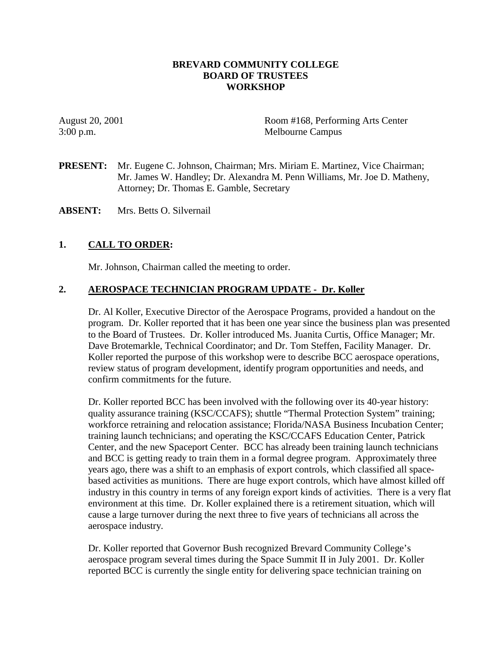## **BREVARD COMMUNITY COLLEGE BOARD OF TRUSTEES WORKSHOP**

August 20, 2001 Room #168, Performing Arts Center 3:00 p.m. Melbourne Campus

**PRESENT:** Mr. Eugene C. Johnson, Chairman; Mrs. Miriam E. Martinez, Vice Chairman; Mr. James W. Handley; Dr. Alexandra M. Penn Williams, Mr. Joe D. Matheny, Attorney; Dr. Thomas E. Gamble, Secretary

**ABSENT:** Mrs. Betts O. Silvernail

## **1. CALL TO ORDER:**

Mr. Johnson, Chairman called the meeting to order.

## **2. AEROSPACE TECHNICIAN PROGRAM UPDATE - Dr. Koller**

Dr. Al Koller, Executive Director of the Aerospace Programs, provided a handout on the program. Dr. Koller reported that it has been one year since the business plan was presented to the Board of Trustees. Dr. Koller introduced Ms. Juanita Curtis, Office Manager; Mr. Dave Brotemarkle, Technical Coordinator; and Dr. Tom Steffen, Facility Manager. Dr. Koller reported the purpose of this workshop were to describe BCC aerospace operations, review status of program development, identify program opportunities and needs, and confirm commitments for the future.

Dr. Koller reported BCC has been involved with the following over its 40-year history: quality assurance training (KSC/CCAFS); shuttle "Thermal Protection System" training; workforce retraining and relocation assistance; Florida/NASA Business Incubation Center; training launch technicians; and operating the KSC/CCAFS Education Center, Patrick Center, and the new Spaceport Center. BCC has already been training launch technicians and BCC is getting ready to train them in a formal degree program. Approximately three years ago, there was a shift to an emphasis of export controls, which classified all spacebased activities as munitions. There are huge export controls, which have almost killed off industry in this country in terms of any foreign export kinds of activities. There is a very flat environment at this time. Dr. Koller explained there is a retirement situation, which will cause a large turnover during the next three to five years of technicians all across the aerospace industry.

Dr. Koller reported that Governor Bush recognized Brevard Community College's aerospace program several times during the Space Summit II in July 2001. Dr. Koller reported BCC is currently the single entity for delivering space technician training on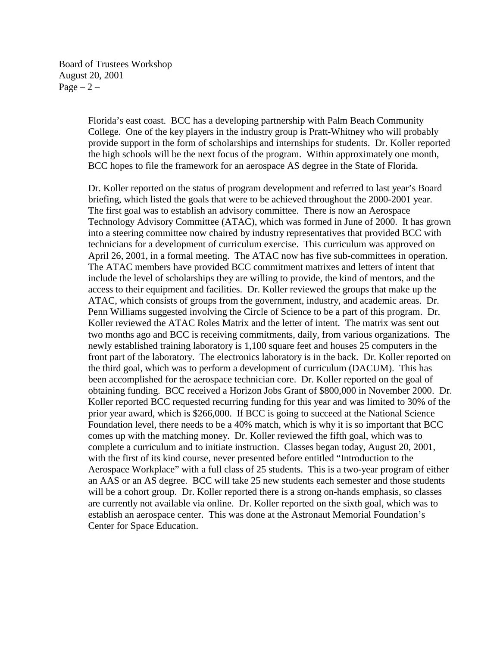Board of Trustees Workshop August 20, 2001  $Page - 2 -$ 

> Florida's east coast. BCC has a developing partnership with Palm Beach Community College. One of the key players in the industry group is Pratt-Whitney who will probably provide support in the form of scholarships and internships for students. Dr. Koller reported the high schools will be the next focus of the program. Within approximately one month, BCC hopes to file the framework for an aerospace AS degree in the State of Florida.

> Dr. Koller reported on the status of program development and referred to last year's Board briefing, which listed the goals that were to be achieved throughout the 2000-2001 year. The first goal was to establish an advisory committee. There is now an Aerospace Technology Advisory Committee (ATAC), which was formed in June of 2000. It has grown into a steering committee now chaired by industry representatives that provided BCC with technicians for a development of curriculum exercise. This curriculum was approved on April 26, 2001, in a formal meeting. The ATAC now has five sub-committees in operation. The ATAC members have provided BCC commitment matrixes and letters of intent that include the level of scholarships they are willing to provide, the kind of mentors, and the access to their equipment and facilities. Dr. Koller reviewed the groups that make up the ATAC, which consists of groups from the government, industry, and academic areas. Dr. Penn Williams suggested involving the Circle of Science to be a part of this program. Dr. Koller reviewed the ATAC Roles Matrix and the letter of intent. The matrix was sent out two months ago and BCC is receiving commitments, daily, from various organizations. The newly established training laboratory is 1,100 square feet and houses 25 computers in the front part of the laboratory. The electronics laboratory is in the back. Dr. Koller reported on the third goal, which was to perform a development of curriculum (DACUM). This has been accomplished for the aerospace technician core. Dr. Koller reported on the goal of obtaining funding. BCC received a Horizon Jobs Grant of \$800,000 in November 2000. Dr. Koller reported BCC requested recurring funding for this year and was limited to 30% of the prior year award, which is \$266,000. If BCC is going to succeed at the National Science Foundation level, there needs to be a 40% match, which is why it is so important that BCC comes up with the matching money. Dr. Koller reviewed the fifth goal, which was to complete a curriculum and to initiate instruction. Classes began today, August 20, 2001, with the first of its kind course, never presented before entitled "Introduction to the Aerospace Workplace" with a full class of 25 students. This is a two-year program of either an AAS or an AS degree. BCC will take 25 new students each semester and those students will be a cohort group. Dr. Koller reported there is a strong on-hands emphasis, so classes are currently not available via online. Dr. Koller reported on the sixth goal, which was to establish an aerospace center. This was done at the Astronaut Memorial Foundation's Center for Space Education.